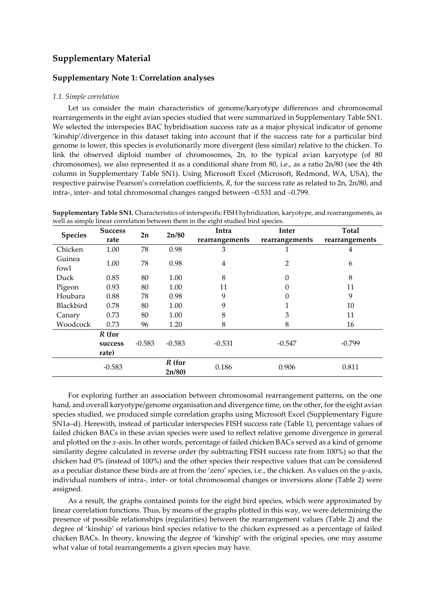# **Supplementary Material**

## **Supplementary Note 1: Correlation analyses**

### *1.1. Simple correlation*

Let us consider the main characteristics of genome/karyotype differences and chromosomal rearrangements in the eight avian species studied that were summarized in Supplementary Table SN1. We selected the interspecies BAC hybridisation success rate as a major physical indicator of genome 'kinship'/divergence in this dataset taking into account that if the success rate for a particular bird genome is lower, this species is evolutionarily more divergent (less similar) relative to the chicken. To link the observed diploid number of chromosomes, 2n, to the typical avian karyotype (of 80 chromosomes), we also represented it as a conditional share from 80, i.e., as a ratio 2n/80 (see the 4th column in Supplementary Table SN1). Using Microsoft Excel (Microsoft, Redmond, WA, USA), the respective pairwise Pearson's correlation coefficients, *R*, for the success rate as related to 2n, 2n/80, and intra-, inter- and total chromosomal changes ranged between –0.531 and –0.799.

| Supplementary Table SN1. Characteristics of interspecific FISH hybridization, karyotype, and rearrangements, as |  |
|-----------------------------------------------------------------------------------------------------------------|--|
| well as simple linear correlation between them in the eight studied bird species.                               |  |

| <b>Species</b> | <b>Success</b>   | 2n       | 2n/80             | Intra          | Inter          | Total          |
|----------------|------------------|----------|-------------------|----------------|----------------|----------------|
|                | rate             |          |                   | rearrangements | rearrangements | rearrangements |
| Chicken        | 1.00             | 78       | 0.98              | 3              |                | 4              |
| Guinea<br>fowl | 1.00             | 78       | 0.98              | 4              | 2              | 6              |
| Duck           | 0.85             | 80       | 1.00              | 8              | 0              | 8              |
| Pigeon         | 0.93             | 80       | 1.00              | 11             | 0              | 11             |
| Houbara        | 0.88             | 78       | 0.98              | 9              | 0              | 9              |
| Blackbird      | 0.78             | 80       | 1.00              | 9              |                | 10             |
| Canary         | 0.73             | 80       | 1.00              | 8              | 3              | 11             |
| Woodcock       | 0.73             | 96       | 1.20              | 8              | 8              | 16             |
|                | $R$ (for         |          |                   |                |                |                |
|                | success<br>rate) | $-0.583$ | $-0.583$          | $-0.531$       | $-0.547$       | $-0.799$       |
|                | $-0.583$         |          | $R$ (for<br>2n/80 | 0.186          | 0.906          | 0.811          |

For exploring further an association between chromosomal rearrangement patterns, on the one hand, and overall karyotype/genome organisation and divergence time, on the other, for the eight avian species studied, we produced simple correlation graphs using Microsoft Excel (Supplementary Figure SN1a–d). Herewith, instead of particular interspecies FISH success rate (Table 1), percentage values of failed chicken BACs in these avian species were used to reflect relative genome divergence in general and plotted on the *x*-axis. In other words, percentage of failed chicken BACs served as a kind of genome similarity degree calculated in reverse order (by subtracting FISH success rate from 100%) so that the chicken had 0% (instead of 100%) and the other species their respective values that can be considered as a peculiar distance these birds are at from the 'zero' species, i.e., the chicken. As values on the *y*-axis, individual numbers of intra-, inter- or total chromosomal changes or inversions alone (Table 2) were assigned.

As a result, the graphs contained points for the eight bird species, which were approximated by linear correlation functions. Thus, by means of the graphs plotted in this way, we were determining the presence of possible relationships (regularities) between the rearrangement values (Table 2) and the degree of 'kinship' of various bird species relative to the chicken expressed as a percentage of failed chicken BACs. In theory, knowing the degree of 'kinship' with the original species, one may assume what value of total rearrangements a given species may have.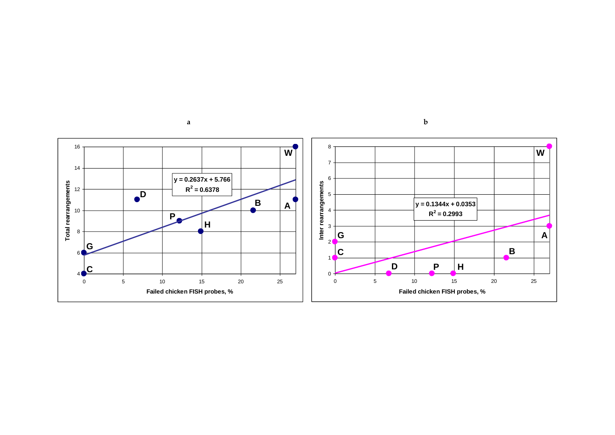

**a**

**b**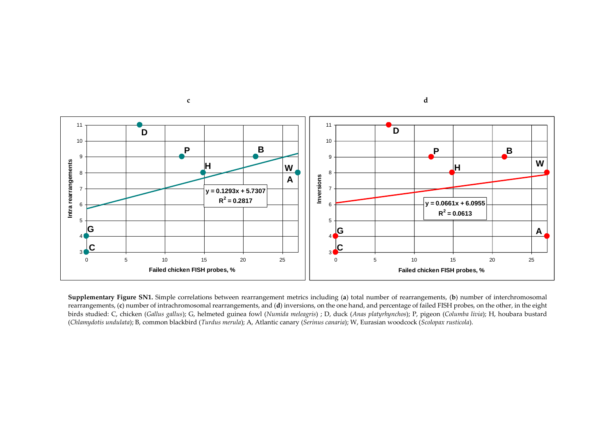

**Supplementary Figure SN1.** Simple correlations between rearrangement metrics including (**a**) total number of rearrangements, (**b**) number of interchromosomal rearrangements, (**c**) number of intrachromosomal rearrangements, and (**d**) inversions, on the one hand, and percentage of failed FISH probes, on the other, in the eight birds studied: C, chicken (*Gallus gallus*); G, helmeted guinea fowl (*Numida meleagris*) ; D, duck (*Anas platyrhynchos*); P, pigeon (*Columba livia*); H, houbara bustard (*Chlamydotis undulata*); B, common blackbird (*Turdus merula*); A, Atlantic canary (*Serinus canaria*); W, Eurasian woodcock (*Scolopax rusticola*).

**c d**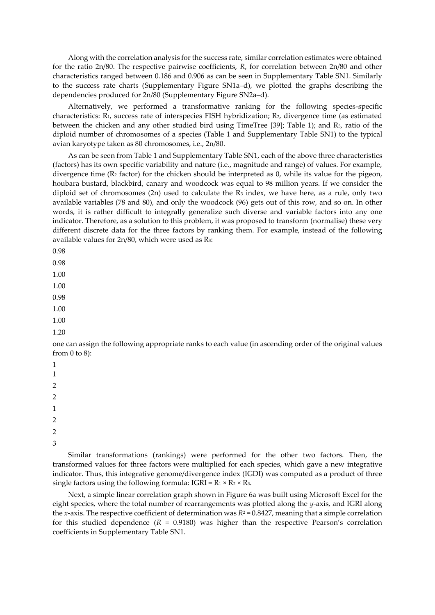Along with the correlation analysis for the success rate, similar correlation estimates were obtained for the ratio 2n/80. The respective pairwise coefficients, *R*, for correlation between 2n/80 and other characteristics ranged between 0.186 and 0.906 as can be seen in Supplementary Table SN1. Similarly to the success rate charts (Supplementary Figure SN1a–d), we plotted the graphs describing the dependencies produced for 2n/80 (Supplementary Figure SN2a–d).

Alternatively, we performed a transformative ranking for the following species-specific characteristics: R1, success rate of interspecies FISH hybridization; R2, divergence time (as estimated between the chicken and any other studied bird using TimeTree [39]; Table 1); and R3, ratio of the diploid number of chromosomes of a species (Table 1 and Supplementary Table SN1) to the typical avian karyotype taken as 80 chromosomes, i.e., 2n/80.

As can be seen from Table 1 and Supplementary Table SN1, each of the above three characteristics (factors) has its own specific variability and nature (i.e., magnitude and range) of values. For example, divergence time ( $R_2$  factor) for the chicken should be interpreted as 0, while its value for the pigeon, houbara bustard, blackbird, canary and woodcock was equal to 98 million years. If we consider the diploid set of chromosomes (2n) used to calculate the R<sup>3</sup> index, we have here, as a rule, only two available variables (78 and 80), and only the woodcock (96) gets out of this row, and so on. In other words, it is rather difficult to integrally generalize such diverse and variable factors into any one indicator. Therefore, as a solution to this problem, it was proposed to transform (normalise) these very different discrete data for the three factors by ranking them. For example, instead of the following available values for 2n/80, which were used as R3:

0.98

0.98

1.00

1.00

0.98

1.00

1.00

1.20

one can assign the following appropriate ranks to each value (in ascending order of the original values from  $0$  to  $8$ ):

1 1

 $\mathcal{D}$ 

2

1

2

2

3

Similar transformations (rankings) were performed for the other two factors. Then, the transformed values for three factors were multiplied for each species, which gave a new integrative indicator. Thus, this integrative genome/divergence index (IGDI) was computed as a product of three single factors using the following formula:  $IGRI = R_1 \times R_2 \times R_3$ .

Next, a simple linear correlation graph shown in Figure 6a was built using Microsoft Excel for the eight species, where the total number of rearrangements was plotted along the *y*-axis, and IGRI along the *x*-axis. The respective coefficient of determination was  $R^2 = 0.8427$ , meaning that a simple correlation for this studied dependence  $(R = 0.9180)$  was higher than the respective Pearson's correlation coefficients in Supplementary Table SN1.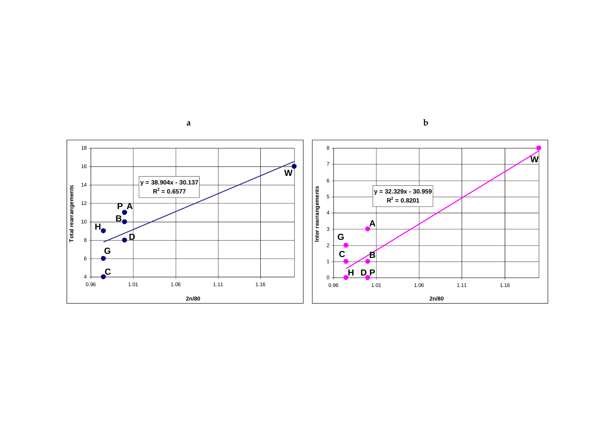



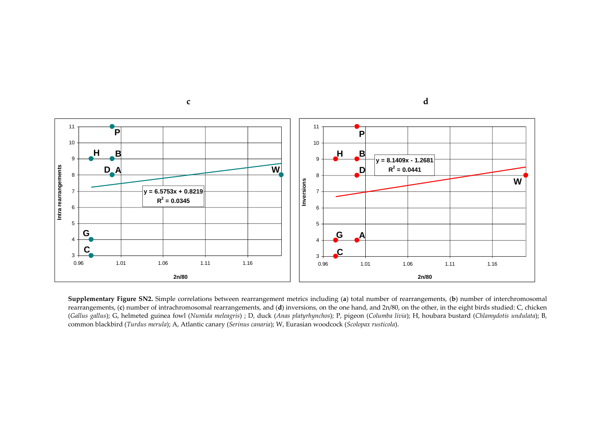

**Supplementary Figure SN2.** Simple correlations between rearrangement metrics including (**a**) total number of rearrangements, (**b**) number of interchromosomal rearrangements, (**c**) number of intrachromosomal rearrangements, and (**d**) inversions, on the one hand, and 2n/80, on the other, in the eight birds studied: C, chicken (*Gallus gallus*); G, helmeted guinea fowl (*Numida meleagris*) ; D, duck (*Anas platyrhynchos*); P, pigeon (*Columba livia*); H, houbara bustard (*Chlamydotis undulata*); B, common blackbird (*Turdus merula*); A, Atlantic canary (*Serinus canaria*); W, Eurasian woodcock (*Scolopax rusticola*).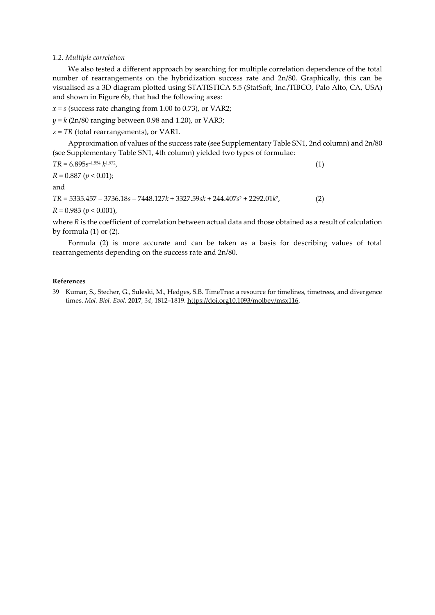### *1.2. Multiple correlation*

We also tested a different approach by searching for multiple correlation dependence of the total number of rearrangements on the hybridization success rate and 2n/80. Graphically, this can be visualised as a 3D diagram plotted using STATISTICA 5.5 (StatSoft, Inc./TIBCO, Palo Alto, CA, USA) and shown in Figure 6b, that had the following axes:

 $x = s$  (success rate changing from 1.00 to 0.73), or VAR2;

*y* = *k* (2n/80 ranging between 0.98 and 1.20), or VAR3;

z = *TR* (total rearrangements), or VAR1.

Approximation of values of the success rate (see Supplementary Table SN1, 2nd column) and 2n/80 (see Supplementary Table SN1, 4th column) yielded two types of formulae:

$$
TR = 6.895s^{-1.554} k^{1.972},
$$
  
\n
$$
R = 0.887 (p < 0.01);
$$
\n
$$
(1)
$$

and

*TR* = 5335.457 – 3736.18*s* – 7448.127*k* + 3327.59*sk* + 244.407*s* <sup>2</sup> + 2292.01*k* 2

*R* = 0.983 (*p* < 0.001),

where *R* is the coefficient of correlation between actual data and those obtained as a result of calculation by formula (1) or (2).

 $(2)$ 

Formula (2) is more accurate and can be taken as a basis for describing values of total rearrangements depending on the success rate and 2n/80.

#### **References**

39 Kumar, S., Stecher, G., Suleski, M., Hedges, S.B. TimeTree: a resource for timelines, timetrees, and divergence times. *Mol. Biol. Evol.* **2017**, *34*, 1812–1819[. https://doi.org10.1093/molbev/msx116.](https://doi.org10.1093/molbev/msx116)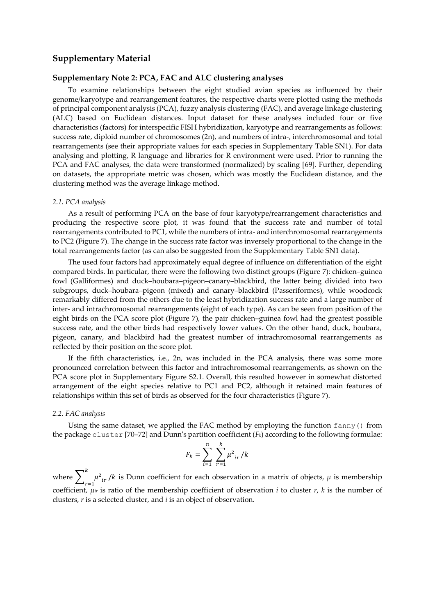## **Supplementary Material**

## **Supplementary Note 2: PCA, FAC and ALC clustering analyses**

To examine relationships between the eight studied avian species as influenced by their genome/karyotype and rearrangement features, the respective charts were plotted using the methods of principal component analysis (PCA), fuzzy analysis clustering (FAC), and average linkage clustering (ALC) based on Euclidean distances. Input dataset for these analyses included four or five characteristics (factors) for interspecific FISH hybridization, karyotype and rearrangements as follows: success rate, diploid number of chromosomes (2n), and numbers of intra-, interchromosomal and total rearrangements (see their appropriate values for each species in Supplementary Table SN1). For data analysing and plotting, R language and libraries for R environment were used. Prior to running the PCA and FAC analyses, the data were transformed (normalized) by scaling [69]. Further, depending on datasets, the appropriate metric was chosen, which was mostly the Euclidean distance, and the clustering method was the average linkage method.

#### *2.1. PCA analysis*

As a result of performing PCA on the base of four karyotype/rearrangement characteristics and producing the respective score plot, it was found that the success rate and number of total rearrangements contributed to PC1, while the numbers of intra- and interchromosomal rearrangements to PC2 (Figure 7). The change in the success rate factor was inversely proportional to the change in the total rearrangements factor (as can also be suggested from the Supplementary Table SN1 data).

The used four factors had approximately equal degree of influence on differentiation of the eight compared birds. In particular, there were the following two distinct groups (Figure 7): chicken–guinea fowl (Galliformes) and duck–houbara–pigeon–canary–blackbird, the latter being divided into two subgroups, duck–houbara–pigeon (mixed) and canary–blackbird (Passeriformes), while woodcock remarkably differed from the others due to the least hybridization success rate and a large number of inter- and intrachromosomal rearrangements (eight of each type). As can be seen from position of the eight birds on the PCA score plot (Figure 7), the pair chicken–guinea fowl had the greatest possible success rate, and the other birds had respectively lower values. On the other hand, duck, houbara, pigeon, canary, and blackbird had the greatest number of intrachromosomal rearrangements as reflected by their position on the score plot.

If the fifth characteristics, i.e., 2n, was included in the PCA analysis, there was some more pronounced correlation between this factor and intrachromosomal rearrangements, as shown on the PCA score plot in Supplementary Figure S2.1. Overall, this resulted however in somewhat distorted arrangement of the eight species relative to PC1 and PC2, although it retained main features of relationships within this set of birds as observed for the four characteristics (Figure 7).

#### *2.2. FAC analysis*

Using the same dataset, we applied the FAC method by employing the function fanny() from the package cluster [70–72] and Dunn's partition coefficient (*Fk*) according to the following formulae:

$$
F_k = \sum_{i=1}^{n} \sum_{r=1}^{k} \mu^2_{ir} / k
$$

where  $\sum_{i} \mu^2_{ir}$  $\boldsymbol{k}$  $\mu^2_{ir}/k$  is Dunn coefficient for each observation in a matrix of objects,  $\mu$  is membership coefficient,  $\mu_{ir}$  is ratio of the membership coefficient of observation *i* to cluster *r*, *k* is the number of clusters, *r* is a selected cluster, and *i* is an object of observation.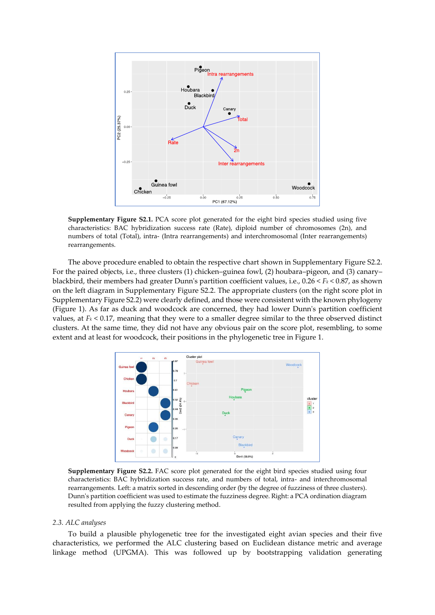

**Supplementary Figure S2.1.** PCA score plot generated for the eight bird species studied using five characteristics: BAC hybridization success rate (Rate), diploid number of chromosomes (2n), and numbers of total (Total), intra- (Intra rearrangements) and interchromosomal (Inter rearrangements) rearrangements.

The above procedure enabled to obtain the respective chart shown in Supplementary Figure S2.2. For the paired objects, i.e., three clusters (1) chicken–guinea fowl, (2) houbara–pigeon, and (3) canary– blackbird, their members had greater Dunn's partition coefficient values, i.e., 0.26 < *F<sup>k</sup>* < 0.87, as shown on the left diagram in Supplementary Figure S2.2. The appropriate clusters (on the right score plot in Supplementary Figure S2.2) were clearly defined, and those were consistent with the known phylogeny (Figure 1). As far as duck and woodcock are concerned, they had lower Dunn's partition coefficient values, at  $F_k$  < 0.17, meaning that they were to a smaller degree similar to the three observed distinct clusters. At the same time, they did not have any obvious pair on the score plot, resembling, to some extent and at least for woodcock, their positions in the phylogenetic tree in Figure 1.



**Supplementary Figure S2.2.** FAC score plot generated for the eight bird species studied using four characteristics: BAC hybridization success rate, and numbers of total, intra- and interchromosomal rearrangements. Left: a matrix sorted in descending order (by the degree of fuzziness of three clusters). Dunn's partition coefficient was used to estimate the fuzziness degree. Right: a PCA ordination diagram resulted from applying the fuzzy clustering method.

### *2.3. ALC analyses*

To build a plausible phylogenetic tree for the investigated eight avian species and their five characteristics, we performed the ALC clustering based on Euclidean distance metric and average linkage method (UPGMA). This was followed up by bootstrapping validation generating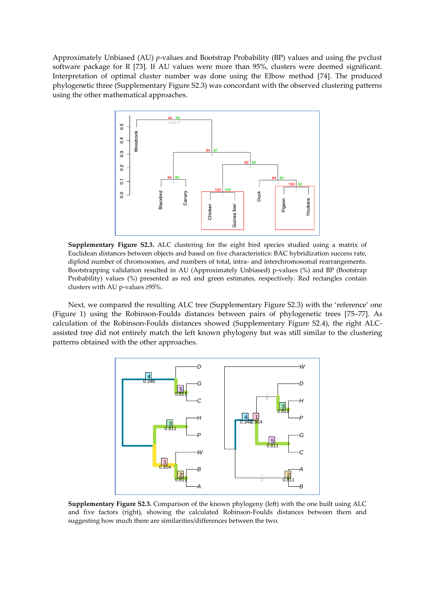Approximately Unbiased (AU) *p*-values and Bootstrap Probability (BP) values and using the pvclust software package for R [73]. If AU values were more than 95%, clusters were deemed significant. Interpretation of optimal cluster number was done using the Elbow method [74]. The produced phylogenetic three (Supplementary Figure S2.3) was concordant with the observed clustering patterns using the other mathematical approaches.



**Supplementary Figure S2.3.** ALC clustering for the eight bird species studied using a matrix of Euclidean distances between objects and based on five characteristics: BAC hybridization success rate, diploid number of chromosomes, and numbers of total, intra- and interchromosomal rearrangements. Bootstrapping validation resulted in AU (Approximately Unbiased) p-values (%) and BP (Bootstrap Probability) values (%) presented as red and green estimates, respectively. Red rectangles contain clusters with AU p-values ≥95%.

Next, we compared the resulting ALC tree (Supplementary Figure S2.3) with the 'reference' one (Figure 1) using the Robinson-Foulds distances between pairs of phylogenetic trees [75–77]. As calculation of the Robinson-Foulds distances showed (Supplementary Figure S2.4), the right ALCassisted tree did not entirely match the left known phylogeny but was still similar to the clustering patterns obtained with the other approaches.



**Supplementary Figure S2.3.** Comparison of the known phylogeny (left) with the one built using ALC and five factors (right), showing the calculated Robinson-Foulds distances between them and suggesting how much there are similarities/differences between the two.